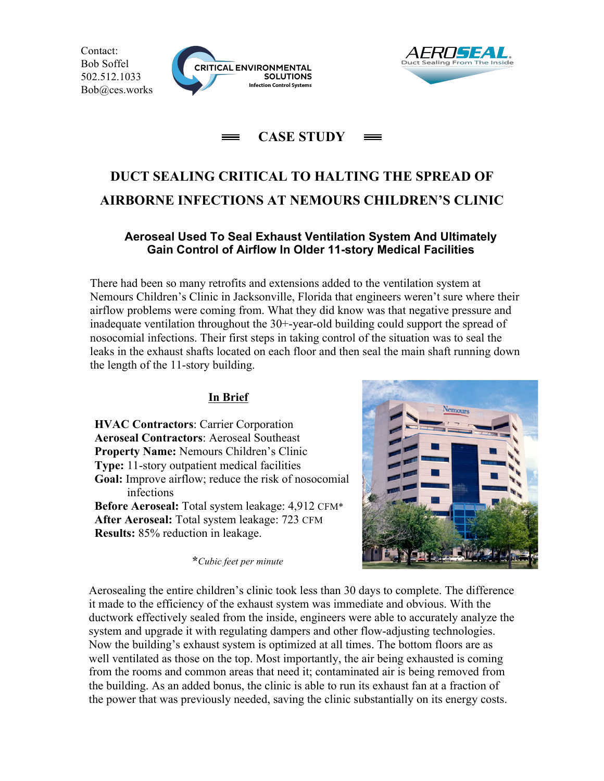Contact: Bob Soffel 502.512.1033 Bob@ces.works





# **CASE STUDY**

# **DUCT SEALING CRITICAL TO HALTING THE SPREAD OF AIRBORNE INFECTIONS AT NEMOURS CHILDREN'S CLINIC**

#### **Aeroseal Used To Seal Exhaust Ventilation System And Ultimately Gain Control of Airflow In Older 11-story Medical Facilities**

There had been so many retrofits and extensions added to the ventilation system at Nemours Children's Clinic in Jacksonville, Florida that engineers weren't sure where their airflow problems were coming from. What they did know was that negative pressure and inadequate ventilation throughout the 30+-year-old building could support the spread of nosocomial infections. Their first steps in taking control of the situation was to seal the leaks in the exhaust shafts located on each floor and then seal the main shaft running down the length of the 11-story building.

### **In Brief**

**HVAC Contractors**: Carrier Corporation **Aeroseal Contractors**: Aeroseal Southeast **Property Name:** Nemours Children's Clinic **Type:** 11-story outpatient medical facilities **Goal:** Improve airflow; reduce the risk of nosocomial infections **Before Aeroseal:** Total system leakage: 4,912 CFM\* **After Aeroseal:** Total system leakage: 723 CFM **Results:** 85% reduction in leakage.

**\****Cubic feet per minute*



Aerosealing the entire children's clinic took less than 30 days to complete. The difference it made to the efficiency of the exhaust system was immediate and obvious. With the ductwork effectively sealed from the inside, engineers were able to accurately analyze the system and upgrade it with regulating dampers and other flow-adjusting technologies. Now the building's exhaust system is optimized at all times. The bottom floors are as well ventilated as those on the top. Most importantly, the air being exhausted is coming from the rooms and common areas that need it; contaminated air is being removed from the building. As an added bonus, the clinic is able to run its exhaust fan at a fraction of the power that was previously needed, saving the clinic substantially on its energy costs.